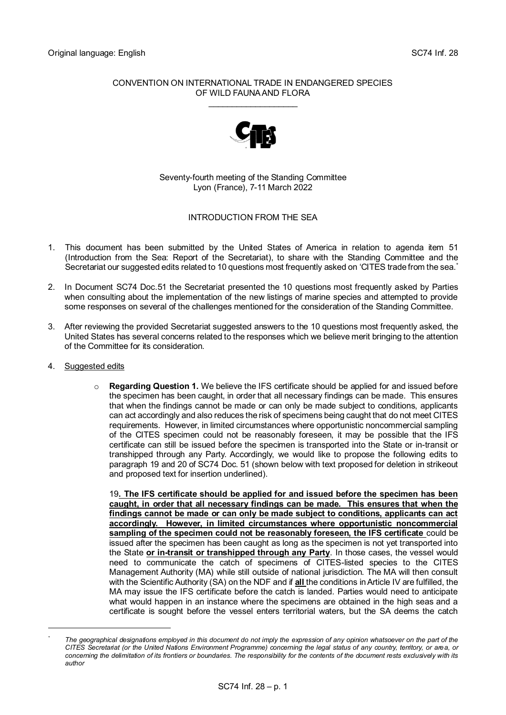## CONVENTION ON INTERNATIONAL TRADE IN ENDANGERED SPECIES OF WILD FAUNA AND FLORA \_\_\_\_\_\_\_\_\_\_\_\_\_\_\_\_\_\_\_



Seventy-fourth meeting of the Standing Committee Lyon (France), 7-11 March 2022

## INTRODUCTION FROM THE SEA

- 1. This document has been submitted by the United States of America in relation to agenda item 51 (Introduction from the Sea: Report of the Secretariat), to share with the Standing Committee and the Secretariat our suggested edits related to 10 questions most frequently asked on 'CITES trade from the sea. \*
- 2. In Document SC74 Doc.51 the Secretariat presented the 10 questions most frequently asked by Parties when consulting about the implementation of the new listings of marine species and attempted to provide some responses on several of the challenges mentioned for the consideration of the Standing Committee.
- 3. After reviewing the provided Secretariat suggested answers to the 10 questions most frequently asked, the United States has several concerns related tothe responses which we believe merit bringing to the attention of the Committee for its consideration.
- 4. Suggested edits
	- o **Regarding Question 1.** We believe the IFS certificate should be applied for and issued before the specimen has been caught, in order that all necessary findings can be made. This ensures that when the findings cannot be made or can only be made subject to conditions, applicants can act accordingly and also reduces the risk of specimens being caught that do not meet CITES requirements. However, in limited circumstances where opportunistic noncommercial sampling of the CITES specimen could not be reasonably foreseen, it may be possible that the IFS certificate can still be issued before the specimen is transported into the State or in-transit or transhipped through any Party. Accordingly, we would like to propose the following edits to paragraph 19 and 20 of SC74 Doc. 51 (shown below with text proposed for deletion in strikeout and proposed text for insertion underlined).

19**. The IFS certificate should be applied for and issued before the specimen has been caught, in order that all necessary findings can be made. This ensures that when the findings cannot be made or can only be made subject to conditions, applicants can act accordingly. However, in limited circumstances where opportunistic noncommercial sampling of the specimen could not be reasonably foreseen, the IFS certificate** could be issued after the specimen has been caught as long as the specimen is not yet transported into the State **or in-transit or transhipped through any Party**. In those cases, the vessel would need to communicate the catch of specimens of CITES-listed species to the CITES Management Authority (MA) while still outside of national jurisdiction. The MA will then consult with the Scientific Authority (SA) on the NDF and if **all** the conditions in Article IV are fulfilled, the MA may issue the IFS certificate before the catch is landed. Parties would need to anticipate what would happen in an instance where the specimens are obtained in the high seas and a certificate is sought before the vessel enters territorial waters, but the SA deems the catch

The geographical designations employed in this document do not imply the expression of any opinion whatsoever on the part of the *CITES Secretariat (or the United Nations Environment Programme) concerning the legal status of any country, territory, or area, or concerning the delimitation of its frontiers or boundaries. The responsibility for the contents of the document rests exclusively with its author*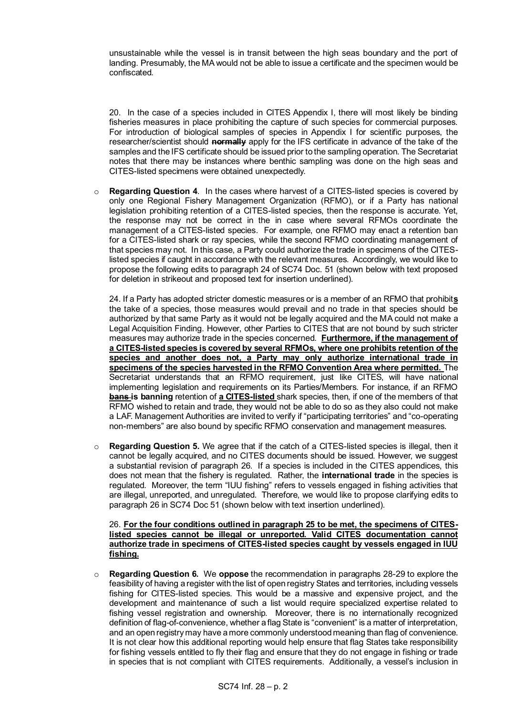unsustainable while the vessel is in transit between the high seas boundary and the port of landing. Presumably, the MA would not be able to issue a certificate and the specimen would be confiscated.

20. In the case of a species included in CITES Appendix I, there will most likely be binding fisheries measures in place prohibiting the capture of such species for commercial purposes. For introduction of biological samples of species in Appendix I for scientific purposes, the researcher/scientist should **normally** apply for the IFS certificate in advance of the take of the samples and the IFS certificate should be issued prior to the sampling operation. The Secretariat notes that there may be instances where benthic sampling was done on the high seas and CITES-listed specimens were obtained unexpectedly.

o **Regarding Question 4**. In the cases where harvest of a CITES-listed species is covered by only one Regional Fishery Management Organization (RFMO), or if a Party has national legislation prohibiting retention of a CITES-listed species, then the response is accurate. Yet, the response may not be correct in the in case where several RFMOs coordinate the management of a CITES-listed species. For example, one RFMO may enact a retention ban for a CITES-listed shark or ray species, while the second RFMO coordinating management of that species may not. In this case, a Party could authorize the trade in specimens of the CITESlisted species if caught in accordance with the relevant measures. Accordingly, we would like to propose the following edits to paragraph 24 of SC74 Doc. 51 (shown below with text proposed for deletion in strikeout and proposed text for insertion underlined).

24. If a Party has adopted stricter domestic measures or is a member of an RFMO that prohibit**s** the take of a species, those measures would prevail and no trade in that species should be authorized by that same Party as it would not be legally acquired and the MA could not make a Legal Acquisition Finding. However, other Parties to CITES that are not bound by such stricter measures may authorize trade in the species concerned. **Furthermore, if the management of a CITES-listed species is covered by several RFMOs, where one prohibits retention of the species and another does not, a Party may only authorize international trade in specimens of the species harvested in the RFMO Convention Area where permitted.** The Secretariat understands that an RFMO requirement, just like CITES, will have national implementing legislation and requirements on its Parties/Members. For instance, if an RFMO **bans is banning** retention of **a CITES-listed** shark species, then, if one of the members of that RFMO wished to retain and trade, they would not be able to do so as they also could not make a LAF. Management Authorities are invited to verify if "participating territories" and "co-operating non-members" are also bound by specific RFMO conservation and management measures.

o **Regarding Question 5.** We agree that if the catch of a CITES-listed species is illegal, then it cannot be legally acquired, and no CITES documents should be issued. However, we suggest a substantial revision of paragraph 26. If a species is included in the CITES appendices, this does not mean that the fishery is regulated. Rather, the **international trade** in the species is regulated. Moreover, the term "IUU fishing" refers to vessels engaged in fishing activities that are illegal, unreported, and unregulated. Therefore, we would like to propose clarifying edits to paragraph 26 in SC74 Doc 51 (shown below with text insertion underlined).

26. **For the four conditions outlined in paragraph 25 to be met, the specimens of CITESlisted species cannot be illegal or unreported. Valid CITES documentation cannot authorize trade in specimens of CITES-listed species caught by vessels engaged in IUU fishing.**

o **Regarding Question 6.** We **oppose** the recommendation in paragraphs 28-29 to explore the feasibility of having a register with the list of open registry States and territories, including vessels fishing for CITES-listed species. This would be a massive and expensive project, and the development and maintenance of such a list would require specialized expertise related to fishing vessel registration and ownership. Moreover, there is no internationally recognized definition of flag-of-convenience, whether a flag State is "convenient" is a matter of interpretation, and an open registry may have a more commonly understood meaning than flag of convenience. It is not clear how this additional reporting would help ensure that flag States take responsibility for fishing vessels entitled to fly their flag and ensure that they do not engage in fishing or trade in species that is not compliant with CITES requirements. Additionally, a vessel's inclusion in